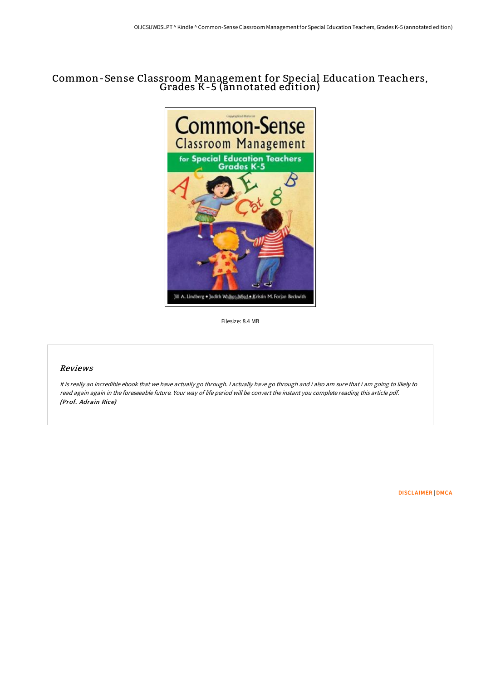## Common-Sense Classroom Management for Special Education Teachers, Grades K-5 (annotated edition)



Filesize: 8.4 MB

## Reviews

It is really an incredible ebook that we have actually go through. I actually have go through and i also am sure that i am going to likely to read again again in the foreseeable future. Your way of life period will be convert the instant you complete reading this article pdf. (Prof. Adrain Rice)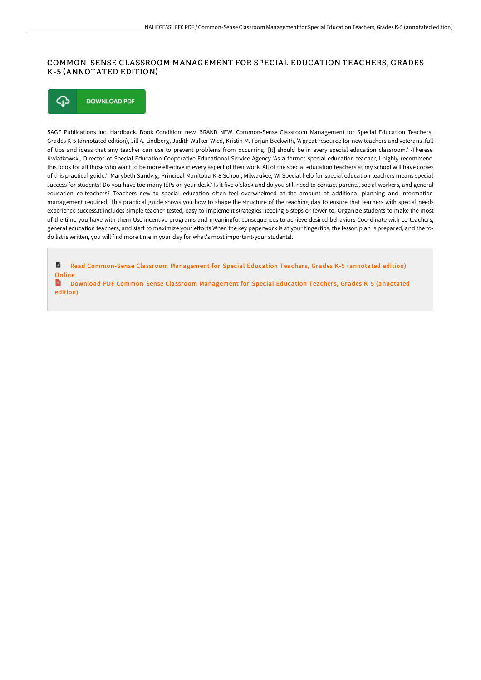## COMMON-SENSE CLASSROOM MANAGEMENT FOR SPECIAL EDUCATION TEACHERS, GRADES K-5 (ANNOTATED EDITION)

⊕ **DOWNLOAD PDF** 

SAGE Publications Inc. Hardback. Book Condition: new. BRAND NEW, Common-Sense Classroom Management for Special Education Teachers, Grades K-5 (annotated edition), Jill A. Lindberg, Judith Walker-Wied, Kristin M. Forjan Beckwith, 'A great resource for new teachers and veterans .full of tips and ideas that any teacher can use to prevent problems from occurring. [It] should be in every special education classroom.' -Therese Kwiatkowski, Director of Special Education Cooperative Educational Service Agency 'As a former special education teacher, I highly recommend this book for all those who want to be more effective in every aspect of their work. All of the special education teachers at my school will have copies of this practical guide.' -Marybeth Sandvig, Principal Manitoba K-8 School, Milwaukee, WI Special help for special education teachers means special success for students! Do you have too many IEPs on your desk? Is it five o'clock and do you still need to contact parents, social workers, and general education co-teachers? Teachers new to special education often feel overwhelmed at the amount of additional planning and information management required. This practical guide shows you how to shape the structure of the teaching day to ensure that learners with special needs experience success.It includes simple teacher-tested, easy-to-implement strategies needing 5 steps or fewer to: Organize students to make the most of the time you have with them Use incentive programs and meaningful consequences to achieve desired behaviors Coordinate with co-teachers, general education teachers, and staff to maximize your efforts When the key paperwork is at your fingertips, the lesson plan is prepared, and the todo list is written, you will find more time in your day for what's most important-your students!.

 $\blacksquare$ Read [Common-Sense](http://www.bookdirs.com/common-sense-classroom-management-for-special-ed-3.html) Classroom Management for Special Education Teachers, Grades K-5 (annotated edition) **Online** 

 $\mathbf{H}$ Download PDF [Common-Sense](http://www.bookdirs.com/common-sense-classroom-management-for-special-ed-3.html) Classroom Management for Special Education Teachers, Grades K-5 (annotated edition)